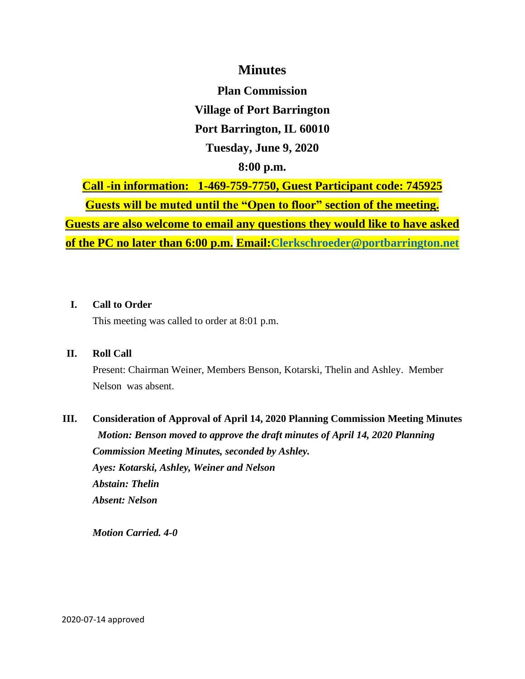## **Minutes**

**Plan Commission Village of Port Barrington Port Barrington, IL 60010 Tuesday, June 9, 2020 8:00 p.m.**

**Call -in information: 1-469-759-7750, Guest Participant code: 745925 Guests will be muted until the "Open to floor" section of the meeting. Guests are also welcome to email any questions they would like to have asked of the PC no later than 6:00 p.m. Email[:Clerkschroeder@portbarrington.net](mailto:Clerkschroeder@portbarrington.net)**

### **I. Call to Order**

This meeting was called to order at 8:01 p.m.

### **II. Roll Call**

Present: Chairman Weiner, Members Benson, Kotarski, Thelin and Ashley. Member Nelson was absent.

# **III. Consideration of Approval of April 14, 2020 Planning Commission Meeting Minutes** *Motion: Benson moved to approve the draft minutes of April 14, 2020 Planning Commission Meeting Minutes, seconded by Ashley. Ayes: Kotarski, Ashley, Weiner and Nelson Abstain: Thelin*

*Absent: Nelson*

*Motion Carried. 4-0*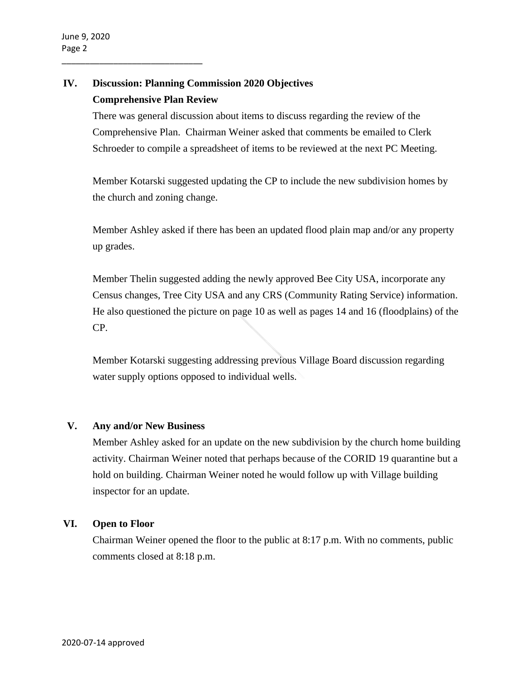\_\_\_\_\_\_\_\_\_\_\_\_\_\_\_\_\_\_\_\_\_\_\_\_\_\_\_\_\_\_

## **IV. Discussion: Planning Commission 2020 Objectives Comprehensive Plan Review**

There was general discussion about items to discuss regarding the review of the Comprehensive Plan. Chairman Weiner asked that comments be emailed to Clerk Schroeder to compile a spreadsheet of items to be reviewed at the next PC Meeting.

Member Kotarski suggested updating the CP to include the new subdivision homes by the church and zoning change.

Member Ashley asked if there has been an updated flood plain map and/or any property up grades.

Member Thelin suggested adding the newly approved Bee City USA, incorporate any Census changes, Tree City USA and any CRS (Community Rating Service) information. He also questioned the picture on page 10 as well as pages 14 and 16 (floodplains) of the CP.

Member Kotarski suggesting addressing previous Village Board discussion regarding water supply options opposed to individual wells.

### **V. Any and/or New Business**

Member Ashley asked for an update on the new subdivision by the church home building activity. Chairman Weiner noted that perhaps because of the CORID 19 quarantine but a hold on building. Chairman Weiner noted he would follow up with Village building inspector for an update.

### **VI. Open to Floor**

Chairman Weiner opened the floor to the public at 8:17 p.m. With no comments, public comments closed at 8:18 p.m.